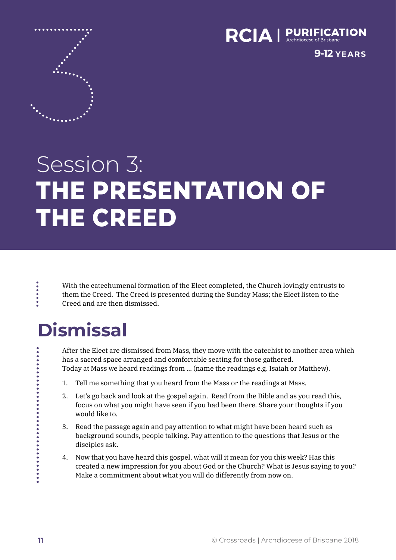

**9-12 YEARS**

# Session 3: **THE PRESENTATION OF THE CREED**

With the catechumenal formation of the Elect completed, the Church lovingly entrusts to them the Creed. The Creed is presented during the Sunday Mass; the Elect listen to the Creed and are then dismissed.

# **Dismissal**

After the Elect are dismissed from Mass, they move with the catechist to another area which has a sacred space arranged and comfortable seating for those gathered. Today at Mass we heard readings from … (name the readings e.g. Isaiah or Matthew).

- 1. Tell me something that you heard from the Mass or the readings at Mass.
- 2. Let's go back and look at the gospel again. Read from the Bible and as you read this, focus on what you might have seen if you had been there. Share your thoughts if you would like to.
- 3. Read the passage again and pay attention to what might have been heard such as background sounds, people talking. Pay attention to the questions that Jesus or the disciples ask.
- 4. Now that you have heard this gospel, what will it mean for you this week? Has this created a new impression for you about God or the Church? What is Jesus saying to you? Make a commitment about what you will do differently from now on.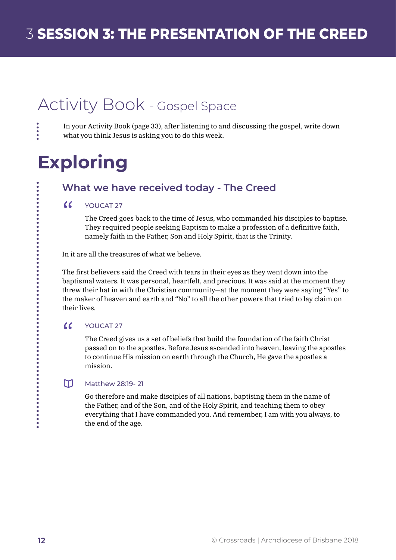# Activity Book - Gospel Space

 $\ddot{\bullet}$ 

.........

------------

In your Activity Book (page 33), after listening to and discussing the gospel, write down what you think Jesus is asking you to do this week.

# **Exploring**

### **What we have received today - The Creed**

#### $\epsilon$ YOUCAT 27

The Creed goes back to the time of Jesus, who commanded his disciples to baptise. They required people seeking Baptism to make a profession of a definitive faith, namely faith in the Father, Son and Holy Spirit, that is the Trinity.

In it are all the treasures of what we believe.

The first believers said the Creed with tears in their eyes as they went down into the baptismal waters. It was personal, heartfelt, and precious. It was said at the moment they threw their hat in with the Christian community—at the moment they were saying "Yes" to the maker of heaven and earth and "No" to all the other powers that tried to lay claim on their lives.

#### $\alpha$ YOUCAT 27

The Creed gives us a set of beliefs that build the foundation of the faith Christ passed on to the apostles. Before Jesus ascended into heaven, leaving the apostles to continue His mission on earth through the Church, He gave the apostles a mission.

#### $m$ Matthew 28:19- 21

Go therefore and make disciples of all nations, baptising them in the name of the Father, and of the Son, and of the Holy Spirit, and teaching them to obey everything that I have commanded you. And remember, I am with you always, to the end of the age.